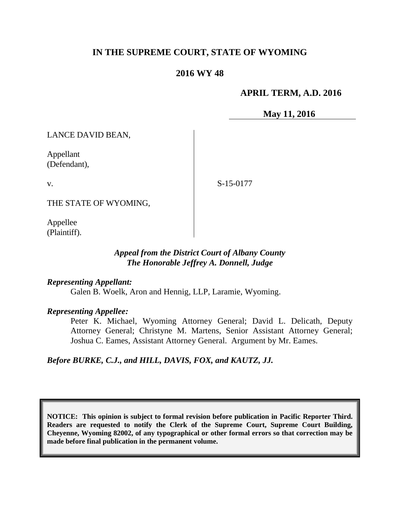# **IN THE SUPREME COURT, STATE OF WYOMING**

### **2016 WY 48**

### **APRIL TERM, A.D. 2016**

**May 11, 2016**

LANCE DAVID BEAN,

Appellant (Defendant),

v.

S-15-0177

THE STATE OF WYOMING,

Appellee (Plaintiff).

### *Appeal from the District Court of Albany County The Honorable Jeffrey A. Donnell, Judge*

#### *Representing Appellant:*

Galen B. Woelk, Aron and Hennig, LLP, Laramie, Wyoming.

#### *Representing Appellee:*

Peter K. Michael, Wyoming Attorney General; David L. Delicath, Deputy Attorney General; Christyne M. Martens, Senior Assistant Attorney General; Joshua C. Eames, Assistant Attorney General. Argument by Mr. Eames.

*Before BURKE, C.J., and HILL, DAVIS, FOX, and KAUTZ, JJ.*

**NOTICE: This opinion is subject to formal revision before publication in Pacific Reporter Third. Readers are requested to notify the Clerk of the Supreme Court, Supreme Court Building, Cheyenne, Wyoming 82002, of any typographical or other formal errors so that correction may be made before final publication in the permanent volume.**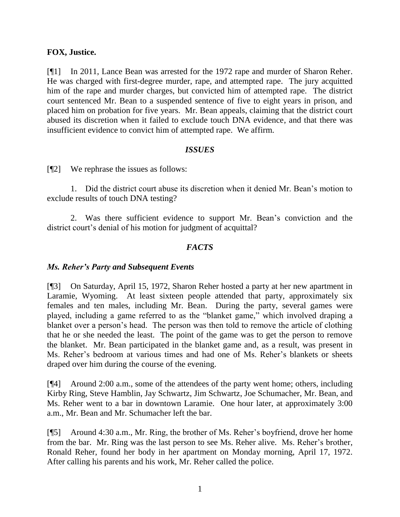### **FOX, Justice.**

[¶1] In 2011, Lance Bean was arrested for the 1972 rape and murder of Sharon Reher. He was charged with first-degree murder, rape, and attempted rape. The jury acquitted him of the rape and murder charges, but convicted him of attempted rape. The district court sentenced Mr. Bean to a suspended sentence of five to eight years in prison, and placed him on probation for five years. Mr. Bean appeals, claiming that the district court abused its discretion when it failed to exclude touch DNA evidence, and that there was insufficient evidence to convict him of attempted rape. We affirm.

### *ISSUES*

[¶2] We rephrase the issues as follows:

1. Did the district court abuse its discretion when it denied Mr. Bean's motion to exclude results of touch DNA testing?

2. Was there sufficient evidence to support Mr. Bean's conviction and the district court's denial of his motion for judgment of acquittal?

# *FACTS*

#### *Ms. Reher's Party and Subsequent Events*

[¶3] On Saturday, April 15, 1972, Sharon Reher hosted a party at her new apartment in Laramie, Wyoming. At least sixteen people attended that party, approximately six females and ten males, including Mr. Bean. During the party, several games were played, including a game referred to as the "blanket game," which involved draping a blanket over a person's head. The person was then told to remove the article of clothing that he or she needed the least. The point of the game was to get the person to remove the blanket. Mr. Bean participated in the blanket game and, as a result, was present in Ms. Reher's bedroom at various times and had one of Ms. Reher's blankets or sheets draped over him during the course of the evening.

[¶4] Around 2:00 a.m., some of the attendees of the party went home; others, including Kirby Ring, Steve Hamblin, Jay Schwartz, Jim Schwartz, Joe Schumacher, Mr. Bean, and Ms. Reher went to a bar in downtown Laramie. One hour later, at approximately 3:00 a.m., Mr. Bean and Mr. Schumacher left the bar.

[¶5] Around 4:30 a.m., Mr. Ring, the brother of Ms. Reher's boyfriend, drove her home from the bar. Mr. Ring was the last person to see Ms. Reher alive. Ms. Reher's brother, Ronald Reher, found her body in her apartment on Monday morning, April 17, 1972. After calling his parents and his work, Mr. Reher called the police.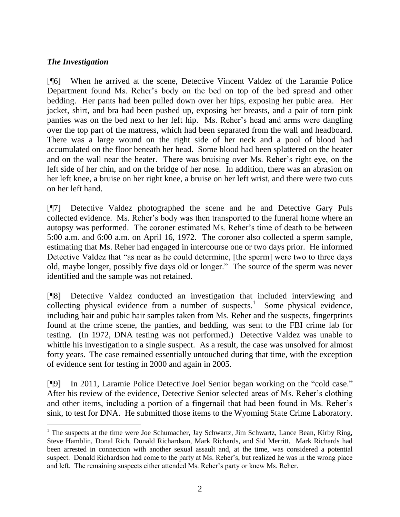# *The Investigation*

[¶6] When he arrived at the scene, Detective Vincent Valdez of the Laramie Police Department found Ms. Reher's body on the bed on top of the bed spread and other bedding. Her pants had been pulled down over her hips, exposing her pubic area. Her jacket, shirt, and bra had been pushed up, exposing her breasts, and a pair of torn pink panties was on the bed next to her left hip. Ms. Reher's head and arms were dangling over the top part of the mattress, which had been separated from the wall and headboard. There was a large wound on the right side of her neck and a pool of blood had accumulated on the floor beneath her head. Some blood had been splattered on the heater and on the wall near the heater. There was bruising over Ms. Reher's right eye, on the left side of her chin, and on the bridge of her nose. In addition, there was an abrasion on her left knee, a bruise on her right knee, a bruise on her left wrist, and there were two cuts on her left hand.

[¶7] Detective Valdez photographed the scene and he and Detective Gary Puls collected evidence. Ms. Reher's body was then transported to the funeral home where an autopsy was performed. The coroner estimated Ms. Reher's time of death to be between 5:00 a.m. and 6:00 a.m. on April 16, 1972. The coroner also collected a sperm sample, estimating that Ms. Reher had engaged in intercourse one or two days prior. He informed Detective Valdez that "as near as he could determine, [the sperm] were two to three days old, maybe longer, possibly five days old or longer." The source of the sperm was never identified and the sample was not retained.

[¶8] Detective Valdez conducted an investigation that included interviewing and collecting physical evidence from a number of suspects.<sup>1</sup> Some physical evidence, including hair and pubic hair samples taken from Ms. Reher and the suspects, fingerprints found at the crime scene, the panties, and bedding, was sent to the FBI crime lab for testing. (In 1972, DNA testing was not performed.) Detective Valdez was unable to whittle his investigation to a single suspect. As a result, the case was unsolved for almost forty years. The case remained essentially untouched during that time, with the exception of evidence sent for testing in 2000 and again in 2005.

[¶9] In 2011, Laramie Police Detective Joel Senior began working on the "cold case." After his review of the evidence, Detective Senior selected areas of Ms. Reher's clothing and other items, including a portion of a fingernail that had been found in Ms. Reher's sink, to test for DNA. He submitted those items to the Wyoming State Crime Laboratory.

 $1$  The suspects at the time were Joe Schumacher, Jay Schwartz, Jim Schwartz, Lance Bean, Kirby Ring, Steve Hamblin, Donal Rich, Donald Richardson, Mark Richards, and Sid Merritt. Mark Richards had been arrested in connection with another sexual assault and, at the time, was considered a potential suspect. Donald Richardson had come to the party at Ms. Reher's, but realized he was in the wrong place and left. The remaining suspects either attended Ms. Reher's party or knew Ms. Reher.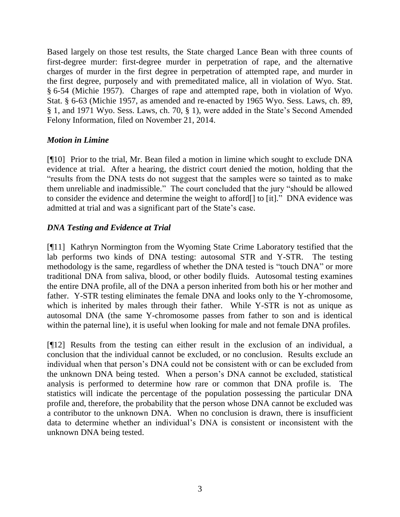Based largely on those test results, the State charged Lance Bean with three counts of first-degree murder: first-degree murder in perpetration of rape, and the alternative charges of murder in the first degree in perpetration of attempted rape, and murder in the first degree, purposely and with premeditated malice, all in violation of Wyo. Stat. § 6-54 (Michie 1957). Charges of rape and attempted rape, both in violation of Wyo. Stat. § 6-63 (Michie 1957, as amended and re-enacted by 1965 Wyo. Sess. Laws, ch. 89, § 1, and 1971 Wyo. Sess. Laws, ch. 70, § 1), were added in the State's Second Amended Felony Information, filed on November 21, 2014.

# *Motion in Limine*

[¶10] Prior to the trial, Mr. Bean filed a motion in limine which sought to exclude DNA evidence at trial. After a hearing, the district court denied the motion, holding that the "results from the DNA tests do not suggest that the samples were so tainted as to make them unreliable and inadmissible." The court concluded that the jury "should be allowed to consider the evidence and determine the weight to afford[] to [it]." DNA evidence was admitted at trial and was a significant part of the State's case.

# *DNA Testing and Evidence at Trial*

[¶11] Kathryn Normington from the Wyoming State Crime Laboratory testified that the lab performs two kinds of DNA testing: autosomal STR and Y-STR. The testing methodology is the same, regardless of whether the DNA tested is "touch DNA" or more traditional DNA from saliva, blood, or other bodily fluids. Autosomal testing examines the entire DNA profile, all of the DNA a person inherited from both his or her mother and father. Y-STR testing eliminates the female DNA and looks only to the Y-chromosome, which is inherited by males through their father. While Y-STR is not as unique as autosomal DNA (the same Y-chromosome passes from father to son and is identical within the paternal line), it is useful when looking for male and not female DNA profiles.

[¶12] Results from the testing can either result in the exclusion of an individual, a conclusion that the individual cannot be excluded, or no conclusion. Results exclude an individual when that person's DNA could not be consistent with or can be excluded from the unknown DNA being tested. When a person's DNA cannot be excluded, statistical analysis is performed to determine how rare or common that DNA profile is. The statistics will indicate the percentage of the population possessing the particular DNA profile and, therefore, the probability that the person whose DNA cannot be excluded was a contributor to the unknown DNA. When no conclusion is drawn, there is insufficient data to determine whether an individual's DNA is consistent or inconsistent with the unknown DNA being tested.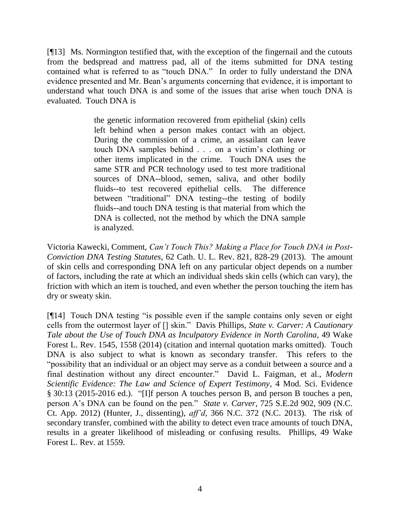[¶13] Ms. Normington testified that, with the exception of the fingernail and the cutouts from the bedspread and mattress pad, all of the items submitted for DNA testing contained what is referred to as "touch DNA." In order to fully understand the DNA evidence presented and Mr. Bean's arguments concerning that evidence, it is important to understand what touch DNA is and some of the issues that arise when touch DNA is evaluated. Touch DNA is

> the genetic information recovered from epithelial (skin) cells left behind when a person makes contact with an object. During the commission of a crime, an assailant can leave touch DNA samples behind . . . on a victim's clothing or other items implicated in the crime. Touch DNA uses the same STR and PCR technology used to test more traditional sources of DNA--blood, semen, saliva, and other bodily fluids--to test recovered epithelial cells. The difference between "traditional" DNA testing--the testing of bodily fluids--and touch DNA testing is that material from which the DNA is collected, not the method by which the DNA sample is analyzed.

Victoria Kawecki, Comment, *Can't Touch This? Making a Place for Touch DNA in Post-Conviction DNA Testing Statutes*, 62 Cath. U. L. Rev. 821, 828-29 (2013). The amount of skin cells and corresponding DNA left on any particular object depends on a number of factors, including the rate at which an individual sheds skin cells (which can vary), the friction with which an item is touched, and even whether the person touching the item has dry or sweaty skin.

[¶14] Touch DNA testing "is possible even if the sample contains only seven or eight cells from the outermost layer of [] skin." Davis Phillips, *State v. Carver: A Cautionary Tale about the Use of Touch DNA as Inculpatory Evidence in North Carolina*, 49 Wake Forest L. Rev. 1545, 1558 (2014) (citation and internal quotation marks omitted). Touch DNA is also subject to what is known as secondary transfer. This refers to the "possibility that an individual or an object may serve as a conduit between a source and a final destination without any direct encounter." David L. Faigman, et al., *Modern Scientific Evidence: The Law and Science of Expert Testimony*, 4 Mod. Sci. Evidence § 30:13 (2015-2016 ed.). "[I]f person A touches person B, and person B touches a pen, person A's DNA can be found on the pen." *State v. Carver*, 725 S.E.2d 902, 909 (N.C. Ct. App. 2012) (Hunter, J., dissenting), *aff'd*, 366 N.C. 372 (N.C. 2013). The risk of secondary transfer, combined with the ability to detect even trace amounts of touch DNA, results in a greater likelihood of misleading or confusing results. Phillips, 49 Wake Forest L. Rev. at 1559.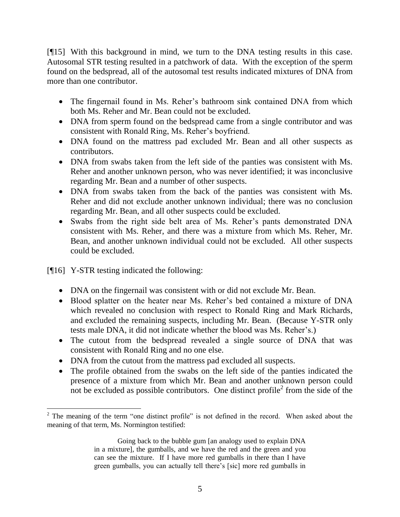[¶15] With this background in mind, we turn to the DNA testing results in this case. Autosomal STR testing resulted in a patchwork of data. With the exception of the sperm found on the bedspread, all of the autosomal test results indicated mixtures of DNA from more than one contributor.

- The fingernail found in Ms. Reher's bathroom sink contained DNA from which both Ms. Reher and Mr. Bean could not be excluded.
- DNA from sperm found on the bedspread came from a single contributor and was consistent with Ronald Ring, Ms. Reher's boyfriend.
- DNA found on the mattress pad excluded Mr. Bean and all other suspects as contributors.
- DNA from swabs taken from the left side of the panties was consistent with Ms. Reher and another unknown person, who was never identified; it was inconclusive regarding Mr. Bean and a number of other suspects.
- DNA from swabs taken from the back of the panties was consistent with Ms. Reher and did not exclude another unknown individual; there was no conclusion regarding Mr. Bean, and all other suspects could be excluded.
- Swabs from the right side belt area of Ms. Reher's pants demonstrated DNA consistent with Ms. Reher, and there was a mixture from which Ms. Reher, Mr. Bean, and another unknown individual could not be excluded. All other suspects could be excluded.

[¶16] Y-STR testing indicated the following:

- DNA on the fingernail was consistent with or did not exclude Mr. Bean.
- Blood splatter on the heater near Ms. Reher's bed contained a mixture of DNA which revealed no conclusion with respect to Ronald Ring and Mark Richards, and excluded the remaining suspects, including Mr. Bean. (Because Y-STR only tests male DNA, it did not indicate whether the blood was Ms. Reher's.)
- The cutout from the bedspread revealed a single source of DNA that was consistent with Ronald Ring and no one else.
- DNA from the cutout from the mattress pad excluded all suspects.
- The profile obtained from the swabs on the left side of the panties indicated the presence of a mixture from which Mr. Bean and another unknown person could not be excluded as possible contributors. One distinct profile<sup>2</sup> from the side of the

  $2$  The meaning of the term "one distinct profile" is not defined in the record. When asked about the meaning of that term, Ms. Normington testified:

Going back to the bubble gum [an analogy used to explain DNA in a mixture], the gumballs, and we have the red and the green and you can see the mixture. If I have more red gumballs in there than I have green gumballs, you can actually tell there's [sic] more red gumballs in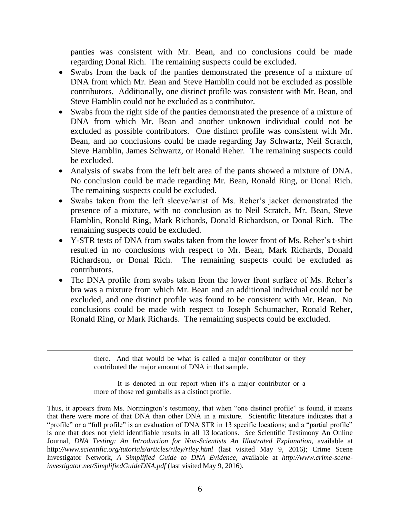panties was consistent with Mr. Bean, and no conclusions could be made regarding Donal Rich. The remaining suspects could be excluded.

- Swabs from the back of the panties demonstrated the presence of a mixture of DNA from which Mr. Bean and Steve Hamblin could not be excluded as possible contributors. Additionally, one distinct profile was consistent with Mr. Bean, and Steve Hamblin could not be excluded as a contributor.
- Swabs from the right side of the panties demonstrated the presence of a mixture of DNA from which Mr. Bean and another unknown individual could not be excluded as possible contributors. One distinct profile was consistent with Mr. Bean, and no conclusions could be made regarding Jay Schwartz, Neil Scratch, Steve Hamblin, James Schwartz, or Ronald Reher. The remaining suspects could be excluded.
- Analysis of swabs from the left belt area of the pants showed a mixture of DNA. No conclusion could be made regarding Mr. Bean, Ronald Ring, or Donal Rich. The remaining suspects could be excluded.
- Swabs taken from the left sleeve/wrist of Ms. Reher's jacket demonstrated the presence of a mixture, with no conclusion as to Neil Scratch, Mr. Bean, Steve Hamblin, Ronald Ring, Mark Richards, Donald Richardson, or Donal Rich. The remaining suspects could be excluded.
- Y-STR tests of DNA from swabs taken from the lower front of Ms. Reher's t-shirt resulted in no conclusions with respect to Mr. Bean, Mark Richards, Donald Richardson, or Donal Rich. The remaining suspects could be excluded as contributors.
- The DNA profile from swabs taken from the lower front surface of Ms. Reher's bra was a mixture from which Mr. Bean and an additional individual could not be excluded, and one distinct profile was found to be consistent with Mr. Bean. No conclusions could be made with respect to Joseph Schumacher, Ronald Reher, Ronald Ring, or Mark Richards. The remaining suspects could be excluded.

there. And that would be what is called a major contributor or they contributed the major amount of DNA in that sample.

It is denoted in our report when it's a major contributor or a more of those red gumballs as a distinct profile.

Thus, it appears from Ms. Normington's testimony, that when "one distinct profile" is found, it means that there were more of that DNA than other DNA in a mixture. Scientific literature indicates that a "profile" or a "full profile" is an evaluation of DNA STR in 13 specific locations; and a "partial profile" is one that does not yield identifiable results in all 13 locations. *See* Scientific Testimony An Online Journal, *DNA Testing: An Introduction for Non-Scientists An Illustrated Explanation*, available at http*://www.scientific.org/tutorials/articles/riley/riley.html* (last visited May 9, 2016); Crime Scene Investigator Network, *A Simplified Guide to DNA Evidence*, available at *http://www.crime-sceneinvestigator.net/SimplifiedGuideDNA.pdf* (last visited May 9, 2016).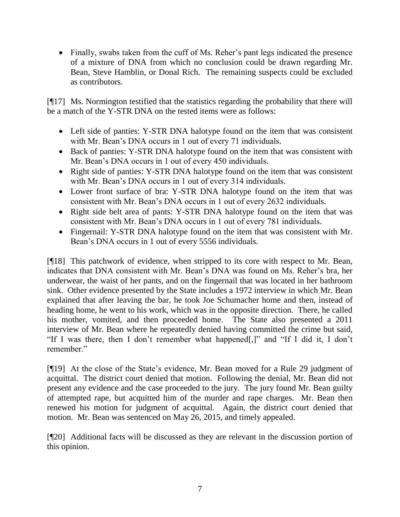Finally, swabs taken from the cuff of Ms. Reher's pant legs indicated the presence of a mixture of DNA from which no conclusion could be drawn regarding Mr. Bean, Steve Hamblin, or Donal Rich. The remaining suspects could be excluded as contributors.

[¶17] Ms. Normington testified that the statistics regarding the probability that there will be a match of the Y-STR DNA on the tested items were as follows:

- Left side of panties: Y-STR DNA halotype found on the item that was consistent with Mr. Bean's DNA occurs in 1 out of every 71 individuals.
- Back of panties: Y-STR DNA halotype found on the item that was consistent with Mr. Bean's DNA occurs in 1 out of every 450 individuals.
- Right side of panties: Y-STR DNA halotype found on the item that was consistent with Mr. Bean's DNA occurs in 1 out of every 314 individuals.
- Lower front surface of bra: Y-STR DNA halotype found on the item that was consistent with Mr. Bean's DNA occurs in 1 out of every 2632 individuals.
- Right side belt area of pants: Y-STR DNA halotype found on the item that was consistent with Mr. Bean's DNA occurs in 1 out of every 781 individuals.
- Fingernail: Y-STR DNA halotype found on the item that was consistent with Mr. Bean's DNA occurs in 1 out of every 5556 individuals.

[¶18] This patchwork of evidence, when stripped to its core with respect to Mr. Bean, indicates that DNA consistent with Mr. Bean's DNA was found on Ms. Reher's bra, her underwear, the waist of her pants, and on the fingernail that was located in her bathroom sink. Other evidence presented by the State includes a 1972 interview in which Mr. Bean explained that after leaving the bar, he took Joe Schumacher home and then, instead of heading home, he went to his work, which was in the opposite direction. There, he called his mother, vomited, and then proceeded home. The State also presented a 2011 interview of Mr. Bean where he repeatedly denied having committed the crime but said, "If I was there, then I don't remember what happened[,]" and "If I did it, I don't remember."

[¶19] At the close of the State's evidence, Mr. Bean moved for a Rule 29 judgment of acquittal. The district court denied that motion. Following the denial, Mr. Bean did not present any evidence and the case proceeded to the jury. The jury found Mr. Bean guilty of attempted rape, but acquitted him of the murder and rape charges. Mr. Bean then renewed his motion for judgment of acquittal. Again, the district court denied that motion. Mr. Bean was sentenced on May 26, 2015, and timely appealed.

[¶20] Additional facts will be discussed as they are relevant in the discussion portion of this opinion.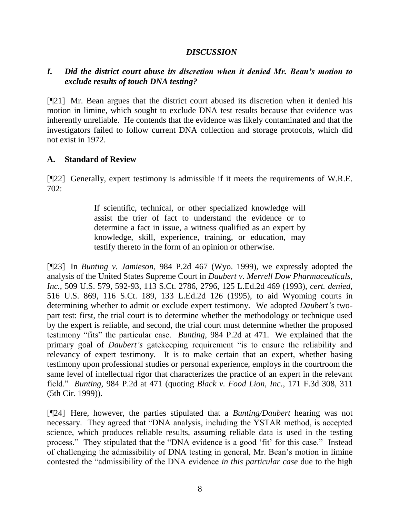### *DISCUSSION*

# *I. Did the district court abuse its discretion when it denied Mr. Bean's motion to exclude results of touch DNA testing?*

[¶21] Mr. Bean argues that the district court abused its discretion when it denied his motion in limine, which sought to exclude DNA test results because that evidence was inherently unreliable. He contends that the evidence was likely contaminated and that the investigators failed to follow current DNA collection and storage protocols, which did not exist in 1972.

### **A. Standard of Review**

[¶22] Generally, expert testimony is admissible if it meets the requirements of W.R.E. 702:

> If scientific, technical, or other specialized knowledge will assist the trier of fact to understand the evidence or to determine a fact in issue, a witness qualified as an expert by knowledge, skill, experience, training, or education, may testify thereto in the form of an opinion or otherwise.

[¶23] In *Bunting v. Jamieson*, 984 P.2d 467 (Wyo. 1999), we expressly adopted the analysis of the United States Supreme Court in *Daubert v. Merrell Dow Pharmaceuticals, Inc.*, 509 U.S. 579, 592-93, 113 S.Ct. 2786, 2796, 125 L.Ed.2d 469 (1993), *cert. denied*, 516 U.S. 869, 116 S.Ct. 189, 133 L.Ed.2d 126 (1995), to aid Wyoming courts in determining whether to admit or exclude expert testimony. We adopted *Daubert's* twopart test: first, the trial court is to determine whether the methodology or technique used by the expert is reliable, and second, the trial court must determine whether the proposed testimony "fits" the particular case. *Bunting*, 984 P.2d at 471. We explained that the primary goal of *Daubert's* gatekeeping requirement "is to ensure the reliability and relevancy of expert testimony. It is to make certain that an expert, whether basing testimony upon professional studies or personal experience, employs in the courtroom the same level of intellectual rigor that characterizes the practice of an expert in the relevant field." *Bunting*, 984 P.2d at 471 (quoting *Black v. Food Lion, Inc.*, 171 F.3d 308, 311 (5th Cir. 1999)).

[¶24] Here, however, the parties stipulated that a *Bunting/Daubert* hearing was not necessary. They agreed that "DNA analysis, including the YSTAR method, is accepted science, which produces reliable results, assuming reliable data is used in the testing process." They stipulated that the "DNA evidence is a good 'fit' for this case." Instead of challenging the admissibility of DNA testing in general, Mr. Bean's motion in limine contested the "admissibility of the DNA evidence *in this particular case* due to the high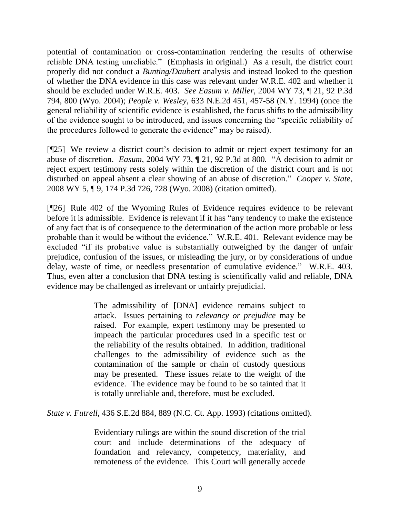potential of contamination or cross-contamination rendering the results of otherwise reliable DNA testing unreliable." (Emphasis in original.) As a result, the district court properly did not conduct a *Bunting/Daubert* analysis and instead looked to the question of whether the DNA evidence in this case was relevant under W.R.E. 402 and whether it should be excluded under W.R.E. 403. *See Easum v. Miller*, 2004 WY 73, ¶ 21, 92 P.3d 794, 800 (Wyo. 2004); *People v. Wesley*, 633 N.E.2d 451, 457-58 (N.Y. 1994) (once the general reliability of scientific evidence is established, the focus shifts to the admissibility of the evidence sought to be introduced, and issues concerning the "specific reliability of the procedures followed to generate the evidence" may be raised).

[¶25] We review a district court's decision to admit or reject expert testimony for an abuse of discretion. *Easum*, 2004 WY 73, ¶ 21, 92 P.3d at 800*.* "A decision to admit or reject expert testimony rests solely within the discretion of the district court and is not disturbed on appeal absent a clear showing of an abuse of discretion." *Cooper v. State*, 2008 WY 5, ¶ 9, 174 P.3d 726, 728 (Wyo. 2008) (citation omitted).

[¶26] Rule 402 of the Wyoming Rules of Evidence requires evidence to be relevant before it is admissible. Evidence is relevant if it has "any tendency to make the existence of any fact that is of consequence to the determination of the action more probable or less probable than it would be without the evidence." W.R.E. 401. Relevant evidence may be excluded "if its probative value is substantially outweighed by the danger of unfair prejudice, confusion of the issues, or misleading the jury, or by considerations of undue delay, waste of time, or needless presentation of cumulative evidence." W.R.E. 403. Thus, even after a conclusion that DNA testing is scientifically valid and reliable, DNA evidence may be challenged as irrelevant or unfairly prejudicial.

> The admissibility of [DNA] evidence remains subject to attack. Issues pertaining to *relevancy or prejudice* may be raised. For example, expert testimony may be presented to impeach the particular procedures used in a specific test or the reliability of the results obtained. In addition, traditional challenges to the admissibility of evidence such as the contamination of the sample or chain of custody questions may be presented. These issues relate to the weight of the evidence. The evidence may be found to be so tainted that it is totally unreliable and, therefore, must be excluded.

*State v. Futrell*, 436 S.E.2d 884, 889 (N.C. Ct. App. 1993) (citations omitted).

Evidentiary rulings are within the sound discretion of the trial court and include determinations of the adequacy of foundation and relevancy, competency, materiality, and remoteness of the evidence. This Court will generally accede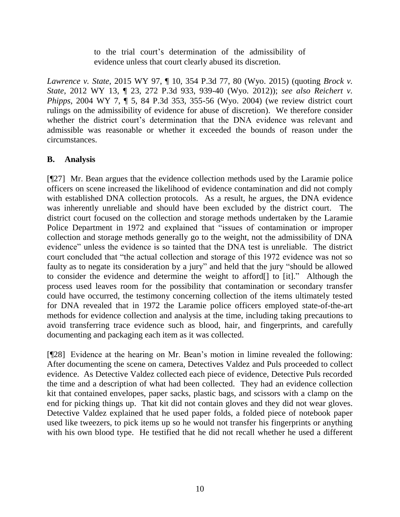to the trial court's determination of the admissibility of evidence unless that court clearly abused its discretion.

*Lawrence v. State*, 2015 WY 97, ¶ 10, 354 P.3d 77, 80 (Wyo. 2015) (quoting *Brock v. State*, 2012 WY 13, ¶ 23, 272 P.3d 933, 939-40 (Wyo. 2012)); *see also Reichert v. Phipps*, 2004 WY 7, ¶ 5, 84 P.3d 353, 355-56 (Wyo. 2004) (we review district court rulings on the admissibility of evidence for abuse of discretion). We therefore consider whether the district court's determination that the DNA evidence was relevant and admissible was reasonable or whether it exceeded the bounds of reason under the circumstances.

# **B. Analysis**

[¶27] Mr. Bean argues that the evidence collection methods used by the Laramie police officers on scene increased the likelihood of evidence contamination and did not comply with established DNA collection protocols. As a result, he argues, the DNA evidence was inherently unreliable and should have been excluded by the district court. The district court focused on the collection and storage methods undertaken by the Laramie Police Department in 1972 and explained that "issues of contamination or improper collection and storage methods generally go to the weight, not the admissibility of DNA evidence" unless the evidence is so tainted that the DNA test is unreliable. The district court concluded that "the actual collection and storage of this 1972 evidence was not so faulty as to negate its consideration by a jury" and held that the jury "should be allowed to consider the evidence and determine the weight to afford[] to [it]." Although the process used leaves room for the possibility that contamination or secondary transfer could have occurred, the testimony concerning collection of the items ultimately tested for DNA revealed that in 1972 the Laramie police officers employed state-of-the-art methods for evidence collection and analysis at the time, including taking precautions to avoid transferring trace evidence such as blood, hair, and fingerprints, and carefully documenting and packaging each item as it was collected.

[¶28] Evidence at the hearing on Mr. Bean's motion in limine revealed the following: After documenting the scene on camera, Detectives Valdez and Puls proceeded to collect evidence. As Detective Valdez collected each piece of evidence, Detective Puls recorded the time and a description of what had been collected. They had an evidence collection kit that contained envelopes, paper sacks, plastic bags, and scissors with a clamp on the end for picking things up. That kit did not contain gloves and they did not wear gloves. Detective Valdez explained that he used paper folds, a folded piece of notebook paper used like tweezers, to pick items up so he would not transfer his fingerprints or anything with his own blood type. He testified that he did not recall whether he used a different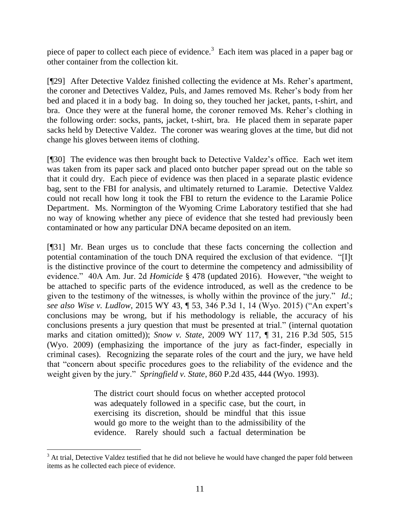piece of paper to collect each piece of evidence.<sup>3</sup> Each item was placed in a paper bag or other container from the collection kit.

[¶29] After Detective Valdez finished collecting the evidence at Ms. Reher's apartment, the coroner and Detectives Valdez, Puls, and James removed Ms. Reher's body from her bed and placed it in a body bag. In doing so, they touched her jacket, pants, t-shirt, and bra. Once they were at the funeral home, the coroner removed Ms. Reher's clothing in the following order: socks, pants, jacket, t-shirt, bra. He placed them in separate paper sacks held by Detective Valdez. The coroner was wearing gloves at the time, but did not change his gloves between items of clothing.

[¶30] The evidence was then brought back to Detective Valdez's office. Each wet item was taken from its paper sack and placed onto butcher paper spread out on the table so that it could dry. Each piece of evidence was then placed in a separate plastic evidence bag, sent to the FBI for analysis, and ultimately returned to Laramie. Detective Valdez could not recall how long it took the FBI to return the evidence to the Laramie Police Department. Ms. Normington of the Wyoming Crime Laboratory testified that she had no way of knowing whether any piece of evidence that she tested had previously been contaminated or how any particular DNA became deposited on an item.

[¶31] Mr. Bean urges us to conclude that these facts concerning the collection and potential contamination of the touch DNA required the exclusion of that evidence. "[I]t is the distinctive province of the court to determine the competency and admissibility of evidence." 40A Am. Jur. 2d *Homicide* § 478 (updated 2016). However, "the weight to be attached to specific parts of the evidence introduced, as well as the credence to be given to the testimony of the witnesses, is wholly within the province of the jury." *Id*.; *see also Wise v. Ludlow*, 2015 WY 43, ¶ 53, 346 P.3d 1, 14 (Wyo. 2015) ("An expert's conclusions may be wrong, but if his methodology is reliable, the accuracy of his conclusions presents a jury question that must be presented at trial." (internal quotation marks and citation omitted)); *Snow v. State*, 2009 WY 117, ¶ 31, 216 P.3d 505, 515 (Wyo. 2009) (emphasizing the importance of the jury as fact-finder, especially in criminal cases). Recognizing the separate roles of the court and the jury, we have held that "concern about specific procedures goes to the reliability of the evidence and the weight given by the jury." *Springfield v. State*, 860 P.2d 435, 444 (Wyo. 1993).

> The district court should focus on whether accepted protocol was adequately followed in a specific case, but the court, in exercising its discretion, should be mindful that this issue would go more to the weight than to the admissibility of the evidence. Rarely should such a factual determination be

<sup>&</sup>lt;sup>3</sup> At trial, Detective Valdez testified that he did not believe he would have changed the paper fold between items as he collected each piece of evidence.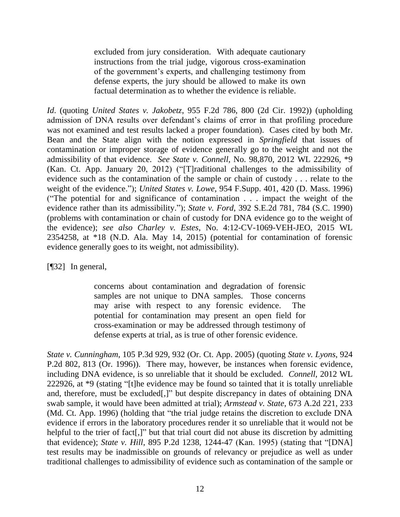excluded from jury consideration. With adequate cautionary instructions from the trial judge, vigorous cross-examination of the government's experts, and challenging testimony from defense experts, the jury should be allowed to make its own factual determination as to whether the evidence is reliable.

*Id*. (quoting *United States v. Jakobetz*, 955 F.2d 786, 800 (2d Cir. 1992)) (upholding admission of DNA results over defendant's claims of error in that profiling procedure was not examined and test results lacked a proper foundation). Cases cited by both Mr. Bean and the State align with the notion expressed in *Springfield* that issues of contamination or improper storage of evidence generally go to the weight and not the admissibility of that evidence. *See State v. Connell*, No. 98,870, 2012 WL 222926, \*9 (Kan. Ct. App. January 20, 2012) ("[T]raditional challenges to the admissibility of evidence such as the contamination of the sample or chain of custody . . . relate to the weight of the evidence."); *United States v. Lowe*, 954 F.Supp. 401, 420 (D. Mass. 1996) ("The potential for and significance of contamination . . . impact the weight of the evidence rather than its admissibility."); *State v. Ford*, 392 S.E.2d 781, 784 (S.C. 1990) (problems with contamination or chain of custody for DNA evidence go to the weight of the evidence); *see also Charley v. Estes*, No. 4:12-CV-1069-VEH-JEO, 2015 WL 2354258, at \*18 (N.D. Ala. May 14, 2015) (potential for contamination of forensic evidence generally goes to its weight, not admissibility).

[¶32] In general,

concerns about contamination and degradation of forensic samples are not unique to DNA samples. Those concerns may arise with respect to any forensic evidence. The potential for contamination may present an open field for cross-examination or may be addressed through testimony of defense experts at trial, as is true of other forensic evidence.

*State v. Cunningham*, 105 P.3d 929, 932 (Or. Ct. App. 2005) (quoting *State v. Lyons*, 924 P.2d 802, 813 (Or. 1996)). There may, however, be instances when forensic evidence, including DNA evidence, is so unreliable that it should be excluded. *Connell*, 2012 WL 222926, at \*9 (stating "[t]he evidence may be found so tainted that it is totally unreliable and, therefore, must be excluded[,]" but despite discrepancy in dates of obtaining DNA swab sample, it would have been admitted at trial); *Armstead v. State*, 673 A.2d 221, 233 (Md. Ct. App. 1996) (holding that "the trial judge retains the discretion to exclude DNA evidence if errors in the laboratory procedures render it so unreliable that it would not be helpful to the trier of fact<sup>[1]</sup>, but that trial court did not abuse its discretion by admitting that evidence); *State v. Hill*, 895 P.2d 1238, 1244-47 (Kan. 1995) (stating that "[DNA] test results may be inadmissible on grounds of relevancy or prejudice as well as under traditional challenges to admissibility of evidence such as contamination of the sample or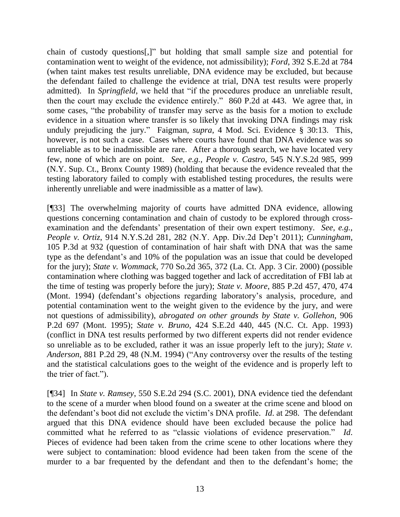chain of custody questions[,]" but holding that small sample size and potential for contamination went to weight of the evidence, not admissibility); *Ford*, 392 S.E.2d at 784 (when taint makes test results unreliable, DNA evidence may be excluded, but because the defendant failed to challenge the evidence at trial, DNA test results were properly admitted). In *Springfield*, we held that "if the procedures produce an unreliable result, then the court may exclude the evidence entirely." 860 P.2d at 443. We agree that, in some cases, "the probability of transfer may serve as the basis for a motion to exclude evidence in a situation where transfer is so likely that invoking DNA findings may risk unduly prejudicing the jury." Faigman, *supra*, 4 Mod. Sci. Evidence § 30:13. This, however, is not such a case. Cases where courts have found that DNA evidence was so unreliable as to be inadmissible are rare. After a thorough search, we have located very few, none of which are on point. *See, e.g., People v. Castro*, 545 N.Y.S.2d 985, 999 (N.Y. Sup. Ct., Bronx County 1989) (holding that because the evidence revealed that the testing laboratory failed to comply with established testing procedures, the results were inherently unreliable and were inadmissible as a matter of law).

[¶33] The overwhelming majority of courts have admitted DNA evidence, allowing questions concerning contamination and chain of custody to be explored through crossexamination and the defendants' presentation of their own expert testimony. *See, e.g., People v. Ortiz*, 914 N.Y.S.2d 281, 282 (N.Y. App. Div.2d Dep't 2011); *Cunningham*, 105 P.3d at 932 (question of contamination of hair shaft with DNA that was the same type as the defendant's and 10% of the population was an issue that could be developed for the jury); *State v. Wommack*, 770 So.2d 365, 372 (La. Ct. App. 3 Cir. 2000) (possible contamination where clothing was bagged together and lack of accreditation of FBI lab at the time of testing was properly before the jury); *State v. Moore*, 885 P.2d 457, 470, 474 (Mont. 1994) (defendant's objections regarding laboratory's analysis, procedure, and potential contamination went to the weight given to the evidence by the jury, and were not questions of admissibility), *abrogated on other grounds by State v. Gollehon*, 906 P.2d 697 (Mont. 1995); *State v. Bruno*, 424 S.E.2d 440, 445 (N.C. Ct. App. 1993) (conflict in DNA test results performed by two different experts did not render evidence so unreliable as to be excluded, rather it was an issue properly left to the jury); *State v. Anderson*, 881 P.2d 29, 48 (N.M. 1994) ("Any controversy over the results of the testing and the statistical calculations goes to the weight of the evidence and is properly left to the trier of fact.").

[¶34] In *State v. Ramsey*, 550 S.E.2d 294 (S.C. 2001), DNA evidence tied the defendant to the scene of a murder when blood found on a sweater at the crime scene and blood on the defendant's boot did not exclude the victim's DNA profile. *Id*. at 298. The defendant argued that this DNA evidence should have been excluded because the police had committed what he referred to as "classic violations of evidence preservation." *Id*. Pieces of evidence had been taken from the crime scene to other locations where they were subject to contamination: blood evidence had been taken from the scene of the murder to a bar frequented by the defendant and then to the defendant's home; the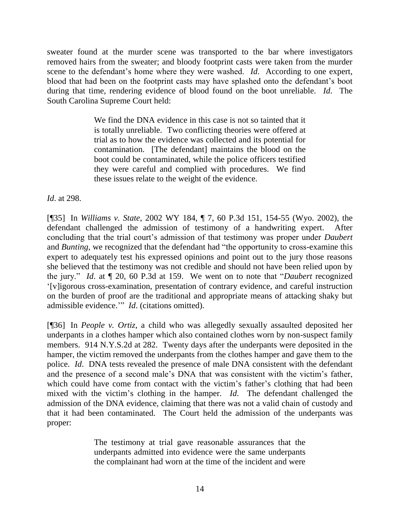sweater found at the murder scene was transported to the bar where investigators removed hairs from the sweater; and bloody footprint casts were taken from the murder scene to the defendant's home where they were washed. *Id*. According to one expert, blood that had been on the footprint casts may have splashed onto the defendant's boot during that time, rendering evidence of blood found on the boot unreliable. *Id*. The South Carolina Supreme Court held:

> We find the DNA evidence in this case is not so tainted that it is totally unreliable. Two conflicting theories were offered at trial as to how the evidence was collected and its potential for contamination. [The defendant] maintains the blood on the boot could be contaminated, while the police officers testified they were careful and complied with procedures. We find these issues relate to the weight of the evidence.

*Id*. at 298.

[¶35] In *Williams v. State*, 2002 WY 184, ¶ 7, 60 P.3d 151, 154-55 (Wyo. 2002), the defendant challenged the admission of testimony of a handwriting expert. After concluding that the trial court's admission of that testimony was proper under *Daubert* and *Bunting*, we recognized that the defendant had "the opportunity to cross-examine this expert to adequately test his expressed opinions and point out to the jury those reasons she believed that the testimony was not credible and should not have been relied upon by the jury." *Id*. at ¶ 20, 60 P.3d at 159. We went on to note that "*Daubert* recognized '[v]igorous cross-examination, presentation of contrary evidence, and careful instruction on the burden of proof are the traditional and appropriate means of attacking shaky but admissible evidence.'" *Id*. (citations omitted).

[¶36] In *People v. Ortiz*, a child who was allegedly sexually assaulted deposited her underpants in a clothes hamper which also contained clothes worn by non-suspect family members. 914 N.Y.S.2d at 282. Twenty days after the underpants were deposited in the hamper, the victim removed the underpants from the clothes hamper and gave them to the police. *Id*. DNA tests revealed the presence of male DNA consistent with the defendant and the presence of a second male's DNA that was consistent with the victim's father, which could have come from contact with the victim's father's clothing that had been mixed with the victim's clothing in the hamper. *Id*. The defendant challenged the admission of the DNA evidence, claiming that there was not a valid chain of custody and that it had been contaminated. The Court held the admission of the underpants was proper:

> The testimony at trial gave reasonable assurances that the underpants admitted into evidence were the same underpants the complainant had worn at the time of the incident and were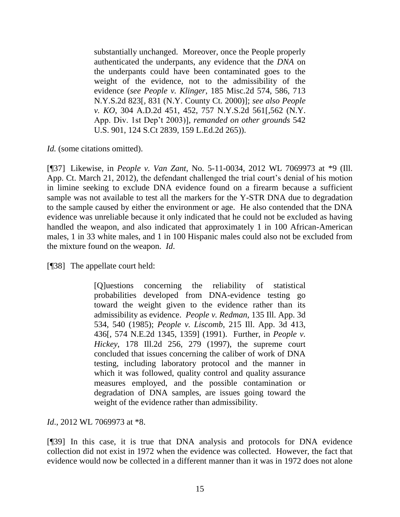substantially unchanged. Moreover, once the People properly authenticated the underpants, any evidence that the *DNA* on the underpants could have been contaminated goes to the weight of the evidence, not to the admissibility of the evidence (*see People v. Klinger*, 185 Misc.2d 574, 586, 713 N.Y.S.2d 823[, 831 (N.Y. County Ct. 2000)]; *see also People v. KO*, 304 A.D.2d 451, 452, 757 N.Y.S.2d 561[,562 (N.Y. App. Div. 1st Dep't 2003)], *remanded on other grounds* 542 U.S. 901, 124 S.Ct 2839, 159 L.Ed.2d 265)).

*Id.* (some citations omitted).

[¶37] Likewise, in *People v. Van Zant*, No. 5-11-0034, 2012 WL 7069973 at \*9 (Ill. App. Ct. March 21, 2012), the defendant challenged the trial court's denial of his motion in limine seeking to exclude DNA evidence found on a firearm because a sufficient sample was not available to test all the markers for the Y-STR DNA due to degradation to the sample caused by either the environment or age. He also contended that the DNA evidence was unreliable because it only indicated that he could not be excluded as having handled the weapon, and also indicated that approximately 1 in 100 African-American males, 1 in 33 white males, and 1 in 100 Hispanic males could also not be excluded from the mixture found on the weapon. *Id*.

[¶38] The appellate court held:

[Q]uestions concerning the reliability of statistical probabilities developed from DNA-evidence testing go toward the weight given to the evidence rather than its admissibility as evidence. *People v. Redman*, 135 Ill. App. 3d 534, 540 (1985); *People v. Liscomb*, 215 Ill. App. 3d 413, 436[, 574 N.E.2d 1345, 1359] (1991). Further, in *People v. Hickey*, 178 Ill.2d 256, 279 (1997), the supreme court concluded that issues concerning the caliber of work of DNA testing, including laboratory protocol and the manner in which it was followed, quality control and quality assurance measures employed, and the possible contamination or degradation of DNA samples, are issues going toward the weight of the evidence rather than admissibility.

*Id*., 2012 WL 7069973 at \*8.

[¶39] In this case, it is true that DNA analysis and protocols for DNA evidence collection did not exist in 1972 when the evidence was collected. However, the fact that evidence would now be collected in a different manner than it was in 1972 does not alone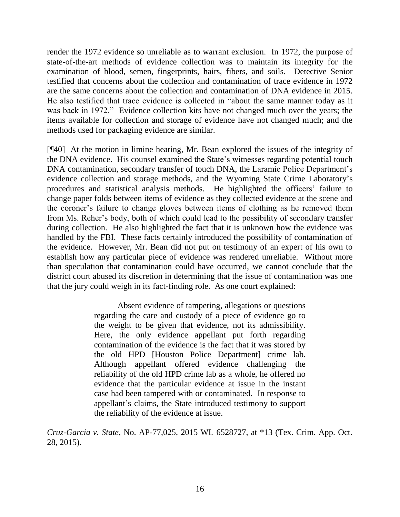render the 1972 evidence so unreliable as to warrant exclusion. In 1972, the purpose of state-of-the-art methods of evidence collection was to maintain its integrity for the examination of blood, semen, fingerprints, hairs, fibers, and soils. Detective Senior testified that concerns about the collection and contamination of trace evidence in 1972 are the same concerns about the collection and contamination of DNA evidence in 2015. He also testified that trace evidence is collected in "about the same manner today as it was back in 1972." Evidence collection kits have not changed much over the years; the items available for collection and storage of evidence have not changed much; and the methods used for packaging evidence are similar.

[¶40] At the motion in limine hearing, Mr. Bean explored the issues of the integrity of the DNA evidence. His counsel examined the State's witnesses regarding potential touch DNA contamination, secondary transfer of touch DNA, the Laramie Police Department's evidence collection and storage methods, and the Wyoming State Crime Laboratory's procedures and statistical analysis methods. He highlighted the officers' failure to change paper folds between items of evidence as they collected evidence at the scene and the coroner's failure to change gloves between items of clothing as he removed them from Ms. Reher's body, both of which could lead to the possibility of secondary transfer during collection. He also highlighted the fact that it is unknown how the evidence was handled by the FBI. These facts certainly introduced the possibility of contamination of the evidence. However, Mr. Bean did not put on testimony of an expert of his own to establish how any particular piece of evidence was rendered unreliable. Without more than speculation that contamination could have occurred, we cannot conclude that the district court abused its discretion in determining that the issue of contamination was one that the jury could weigh in its fact-finding role. As one court explained:

> Absent evidence of tampering, allegations or questions regarding the care and custody of a piece of evidence go to the weight to be given that evidence, not its admissibility. Here, the only evidence appellant put forth regarding contamination of the evidence is the fact that it was stored by the old HPD [Houston Police Department] crime lab. Although appellant offered evidence challenging the reliability of the old HPD crime lab as a whole, he offered no evidence that the particular evidence at issue in the instant case had been tampered with or contaminated. In response to appellant's claims, the State introduced testimony to support the reliability of the evidence at issue.

*Cruz-Garcia v. State*, No. AP-77,025, 2015 WL 6528727, at \*13 (Tex. Crim. App. Oct. 28, 2015).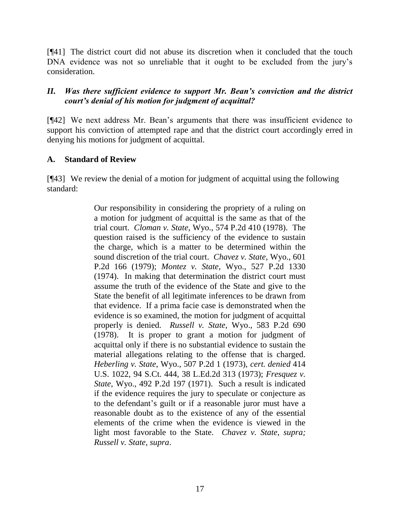[¶41] The district court did not abuse its discretion when it concluded that the touch DNA evidence was not so unreliable that it ought to be excluded from the jury's consideration.

# *II. Was there sufficient evidence to support Mr. Bean's conviction and the district court's denial of his motion for judgment of acquittal?*

[¶42] We next address Mr. Bean's arguments that there was insufficient evidence to support his conviction of attempted rape and that the district court accordingly erred in denying his motions for judgment of acquittal.

# **A. Standard of Review**

[¶43] We review the denial of a motion for judgment of acquittal using the following standard:

> Our responsibility in considering the propriety of a ruling on a motion for judgment of acquittal is the same as that of the trial court. *Cloman v. State*, Wyo., 574 P.2d 410 (1978). The question raised is the sufficiency of the evidence to sustain the charge, which is a matter to be determined within the sound discretion of the trial court. *Chavez v. State*, Wyo., 601 P.2d 166 (1979); *Montez v. State*, Wyo., 527 P.2d 1330 (1974). In making that determination the district court must assume the truth of the evidence of the State and give to the State the benefit of all legitimate inferences to be drawn from that evidence. If a prima facie case is demonstrated when the evidence is so examined, the motion for judgment of acquittal properly is denied. *Russell v. State*, Wyo., 583 P.2d 690 (1978). It is proper to grant a motion for judgment of acquittal only if there is no substantial evidence to sustain the material allegations relating to the offense that is charged. *Heberling v. State*, Wyo., 507 P.2d 1 (1973), *cert. denied* 414 U.S. 1022, 94 S.Ct. 444, 38 L.Ed.2d 313 (1973); *Fresquez v. State*, Wyo., 492 P.2d 197 (1971). Such a result is indicated if the evidence requires the jury to speculate or conjecture as to the defendant's guilt or if a reasonable juror must have a reasonable doubt as to the existence of any of the essential elements of the crime when the evidence is viewed in the light most favorable to the State. *Chavez v. State*, *supra; Russell v. State*, *supra*.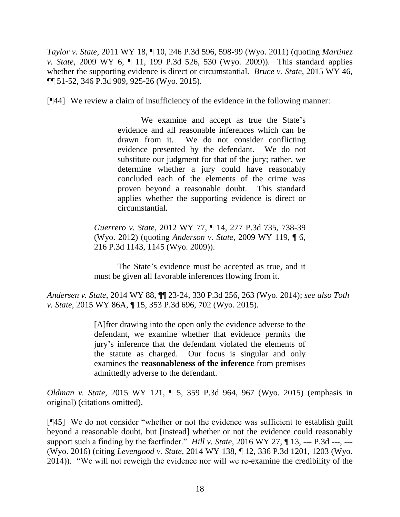*Taylor v. State*, 2011 WY 18, ¶ 10, 246 P.3d 596, 598-99 (Wyo. 2011) (quoting *Martinez v. State*, 2009 WY 6, ¶ 11, 199 P.3d 526, 530 (Wyo. 2009)). This standard applies whether the supporting evidence is direct or circumstantial. *Bruce v. State*, 2015 WY 46, ¶¶ 51-52, 346 P.3d 909, 925-26 (Wyo. 2015).

[¶44] We review a claim of insufficiency of the evidence in the following manner:

We examine and accept as true the State's evidence and all reasonable inferences which can be drawn from it. We do not consider conflicting evidence presented by the defendant. We do not substitute our judgment for that of the jury; rather, we determine whether a jury could have reasonably concluded each of the elements of the crime was proven beyond a reasonable doubt. This standard applies whether the supporting evidence is direct or circumstantial.

*Guerrero v. State*, 2012 WY 77, ¶ 14, 277 P.3d 735, 738-39 (Wyo. 2012) (quoting *Anderson v. State*, 2009 WY 119, ¶ 6, 216 P.3d 1143, 1145 (Wyo. 2009)).

The State's evidence must be accepted as true, and it must be given all favorable inferences flowing from it.

*Andersen v. State*, 2014 WY 88, ¶¶ 23-24, 330 P.3d 256, 263 (Wyo. 2014); *see also Toth v. State*, 2015 WY 86A, ¶ 15, 353 P.3d 696, 702 (Wyo. 2015).

> [A]fter drawing into the open only the evidence adverse to the defendant, we examine whether that evidence permits the jury's inference that the defendant violated the elements of the statute as charged. Our focus is singular and only examines the **reasonableness of the inference** from premises admittedly adverse to the defendant.

*Oldman v. State*, 2015 WY 121, ¶ 5, 359 P.3d 964, 967 (Wyo. 2015) (emphasis in original) (citations omitted).

[¶45] We do not consider "whether or not the evidence was sufficient to establish guilt beyond a reasonable doubt, but [instead] whether or not the evidence could reasonably support such a finding by the factfinder." *Hill v. State*, 2016 WY 27, ¶ 13, --- P.3d ---, --- (Wyo. 2016) (citing *Levengood v. State*, 2014 WY 138, ¶ 12, 336 P.3d 1201, 1203 (Wyo. 2014)). "We will not reweigh the evidence nor will we re-examine the credibility of the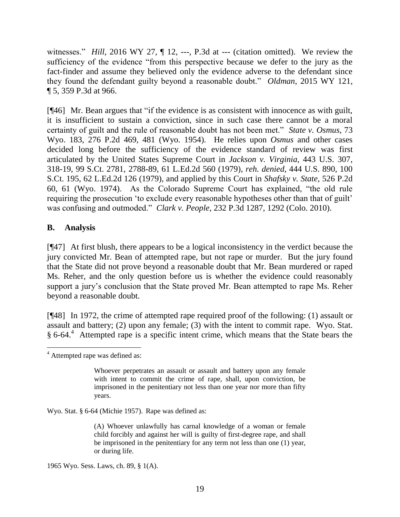witnesses." *Hill*, 2016 WY 27,  $\P$  12, ---, P.3d at --- (citation omitted). We review the sufficiency of the evidence "from this perspective because we defer to the jury as the fact-finder and assume they believed only the evidence adverse to the defendant since they found the defendant guilty beyond a reasonable doubt." *Oldman*, 2015 WY 121, ¶ 5, 359 P.3d at 966.

[¶46] Mr. Bean argues that "if the evidence is as consistent with innocence as with guilt, it is insufficient to sustain a conviction, since in such case there cannot be a moral certainty of guilt and the rule of reasonable doubt has not been met." *State v. Osmus*, 73 Wyo. 183, 276 P.2d 469, 481 (Wyo. 1954). He relies upon *Osmus* and other cases decided long before the sufficiency of the evidence standard of review was first articulated by the United States Supreme Court in *Jackson v. Virginia*, 443 U.S. 307, 318-19, 99 S.Ct. 2781, 2788-89, 61 L.Ed.2d 560 (1979), *reh. denied*, 444 U.S. 890, 100 S.Ct. 195, 62 L.Ed.2d 126 (1979), and applied by this Court in *Shafsky v. State*, 526 P.2d 60, 61 (Wyo. 1974). As the Colorado Supreme Court has explained, "the old rule requiring the prosecution 'to exclude every reasonable hypotheses other than that of guilt' was confusing and outmoded." *Clark v. People*, 232 P.3d 1287, 1292 (Colo. 2010).

# **B. Analysis**

[¶47] At first blush, there appears to be a logical inconsistency in the verdict because the jury convicted Mr. Bean of attempted rape, but not rape or murder. But the jury found that the State did not prove beyond a reasonable doubt that Mr. Bean murdered or raped Ms. Reher, and the only question before us is whether the evidence could reasonably support a jury's conclusion that the State proved Mr. Bean attempted to rape Ms. Reher beyond a reasonable doubt.

[¶48] In 1972, the crime of attempted rape required proof of the following: (1) assault or assault and battery; (2) upon any female; (3) with the intent to commit rape. Wyo. Stat. § 6-64.<sup>4</sup> Attempted rape is a specific intent crime, which means that the State bears the

Wyo. Stat. § 6-64 (Michie 1957). Rape was defined as:

(A) Whoever unlawfully has carnal knowledge of a woman or female child forcibly and against her will is guilty of first-degree rape, and shall be imprisoned in the penitentiary for any term not less than one (1) year, or during life.

1965 Wyo. Sess. Laws, ch. 89, § 1(A).

 <sup>4</sup> Attempted rape was defined as:

Whoever perpetrates an assault or assault and battery upon any female with intent to commit the crime of rape, shall, upon conviction, be imprisoned in the penitentiary not less than one year nor more than fifty years.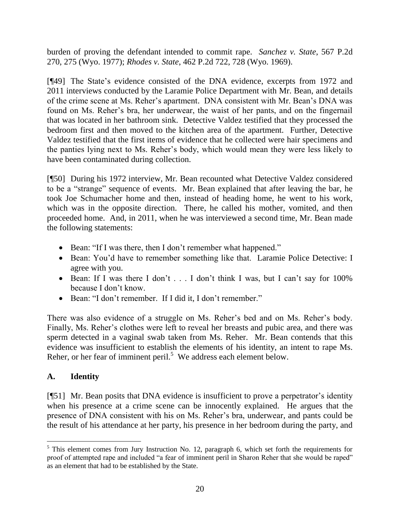burden of proving the defendant intended to commit rape. *Sanchez v. State*, 567 P.2d 270, 275 (Wyo. 1977); *Rhodes v. State*, 462 P.2d 722, 728 (Wyo. 1969).

[¶49] The State's evidence consisted of the DNA evidence, excerpts from 1972 and 2011 interviews conducted by the Laramie Police Department with Mr. Bean, and details of the crime scene at Ms. Reher's apartment. DNA consistent with Mr. Bean's DNA was found on Ms. Reher's bra, her underwear, the waist of her pants, and on the fingernail that was located in her bathroom sink. Detective Valdez testified that they processed the bedroom first and then moved to the kitchen area of the apartment. Further, Detective Valdez testified that the first items of evidence that he collected were hair specimens and the panties lying next to Ms. Reher's body, which would mean they were less likely to have been contaminated during collection.

[¶50] During his 1972 interview, Mr. Bean recounted what Detective Valdez considered to be a "strange" sequence of events. Mr. Bean explained that after leaving the bar, he took Joe Schumacher home and then, instead of heading home, he went to his work, which was in the opposite direction. There, he called his mother, vomited, and then proceeded home. And, in 2011, when he was interviewed a second time, Mr. Bean made the following statements:

- Bean: "If I was there, then I don't remember what happened."
- Bean: You'd have to remember something like that. Laramie Police Detective: I agree with you.
- Bean: If I was there I don't . . . I don't think I was, but I can't say for 100% because I don't know.
- Bean: "I don't remember. If I did it, I don't remember."

There was also evidence of a struggle on Ms. Reher's bed and on Ms. Reher's body. Finally, Ms. Reher's clothes were left to reveal her breasts and pubic area, and there was sperm detected in a vaginal swab taken from Ms. Reher. Mr. Bean contends that this evidence was insufficient to establish the elements of his identity, an intent to rape Ms. Reher, or her fear of imminent peril.<sup>5</sup> We address each element below.

# **A. Identity**

[¶51] Mr. Bean posits that DNA evidence is insufficient to prove a perpetrator's identity when his presence at a crime scene can be innocently explained. He argues that the presence of DNA consistent with his on Ms. Reher's bra, underwear, and pants could be the result of his attendance at her party, his presence in her bedroom during the party, and

  $<sup>5</sup>$  This element comes from Jury Instruction No. 12, paragraph 6, which set forth the requirements for</sup> proof of attempted rape and included "a fear of imminent peril in Sharon Reher that she would be raped" as an element that had to be established by the State.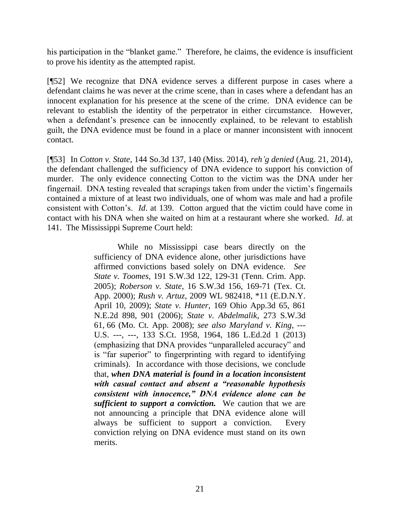his participation in the "blanket game." Therefore, he claims, the evidence is insufficient to prove his identity as the attempted rapist.

[¶52] We recognize that DNA evidence serves a different purpose in cases where a defendant claims he was never at the crime scene, than in cases where a defendant has an innocent explanation for his presence at the scene of the crime. DNA evidence can be relevant to establish the identity of the perpetrator in either circumstance. However, when a defendant's presence can be innocently explained, to be relevant to establish guilt, the DNA evidence must be found in a place or manner inconsistent with innocent contact.

[¶53] In *Cotton v. State*, 144 So.3d 137, 140 (Miss. 2014), *reh'g denied* (Aug. 21, 2014), the defendant challenged the sufficiency of DNA evidence to support his conviction of murder. The only evidence connecting Cotton to the victim was the DNA under her fingernail. DNA testing revealed that scrapings taken from under the victim's fingernails contained a mixture of at least two individuals, one of whom was male and had a profile consistent with Cotton's. *Id*. at 139. Cotton argued that the victim could have come in contact with his DNA when she waited on him at a restaurant where she worked. *Id*. at 141. The Mississippi Supreme Court held:

> While no Mississippi case bears directly on the sufficiency of DNA evidence alone, other jurisdictions have affirmed convictions based solely on DNA evidence. *See State v. Toomes*, 191 S.W.3d 122, 129-31 (Tenn. Crim. App. 2005); *Roberson v. State*, 16 S.W.3d 156, 169-71 (Tex. Ct. App. 2000); *Rush v. Artuz*, 2009 WL 982418, \*11 (E.D.N.Y. April 10, 2009); *State v. Hunter*, 169 Ohio App.3d 65, 861 N.E.2d 898, 901 (2006); *State v. Abdelmalik*, 273 S.W.3d 61, 66 (Mo. Ct. App. 2008); *see also Maryland v. King*, --- U.S. ---, ---, 133 S.Ct. 1958, 1964, 186 L.Ed.2d 1 (2013) (emphasizing that DNA provides "unparalleled accuracy" and is "far superior" to fingerprinting with regard to identifying criminals). In accordance with those decisions, we conclude that, *when DNA material is found in a location inconsistent with casual contact and absent a "reasonable hypothesis consistent with innocence," DNA evidence alone can be sufficient to support a conviction.* We caution that we are not announcing a principle that DNA evidence alone will always be sufficient to support a conviction. Every conviction relying on DNA evidence must stand on its own merits.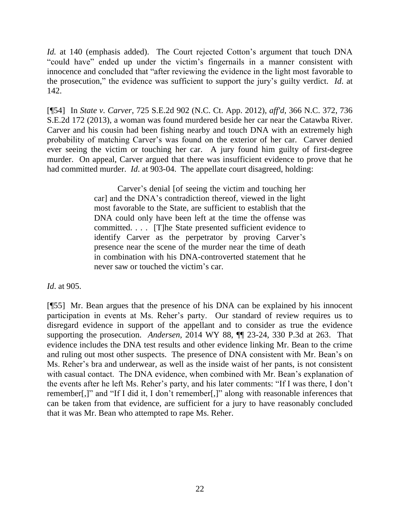*Id.* at 140 (emphasis added). The Court rejected Cotton's argument that touch DNA "could have" ended up under the victim's fingernails in a manner consistent with innocence and concluded that "after reviewing the evidence in the light most favorable to the prosecution," the evidence was sufficient to support the jury's guilty verdict. *Id*. at 142.

[¶54] In *State v. Carver*, 725 S.E.2d 902 (N.C. Ct. App. 2012), *aff'd*, 366 N.C. 372, 736 S.E.2d 172 (2013), a woman was found murdered beside her car near the Catawba River. Carver and his cousin had been fishing nearby and touch DNA with an extremely high probability of matching Carver's was found on the exterior of her car. Carver denied ever seeing the victim or touching her car. A jury found him guilty of first-degree murder. On appeal, Carver argued that there was insufficient evidence to prove that he had committed murder. *Id*. at 903-04. The appellate court disagreed, holding:

> Carver's denial [of seeing the victim and touching her car] and the DNA's contradiction thereof, viewed in the light most favorable to the State, are sufficient to establish that the DNA could only have been left at the time the offense was committed. . . . [T]he State presented sufficient evidence to identify Carver as the perpetrator by proving Carver's presence near the scene of the murder near the time of death in combination with his DNA-controverted statement that he never saw or touched the victim's car.

*Id*. at 905.

[¶55] Mr. Bean argues that the presence of his DNA can be explained by his innocent participation in events at Ms. Reher's party. Our standard of review requires us to disregard evidence in support of the appellant and to consider as true the evidence supporting the prosecution. *Andersen*, 2014 WY 88, ¶¶ 23-24, 330 P.3d at 263. That evidence includes the DNA test results and other evidence linking Mr. Bean to the crime and ruling out most other suspects. The presence of DNA consistent with Mr. Bean's on Ms. Reher's bra and underwear, as well as the inside waist of her pants, is not consistent with casual contact. The DNA evidence, when combined with Mr. Bean's explanation of the events after he left Ms. Reher's party, and his later comments: "If I was there, I don't remember[,]" and "If I did it, I don't remember[,]" along with reasonable inferences that can be taken from that evidence, are sufficient for a jury to have reasonably concluded that it was Mr. Bean who attempted to rape Ms. Reher.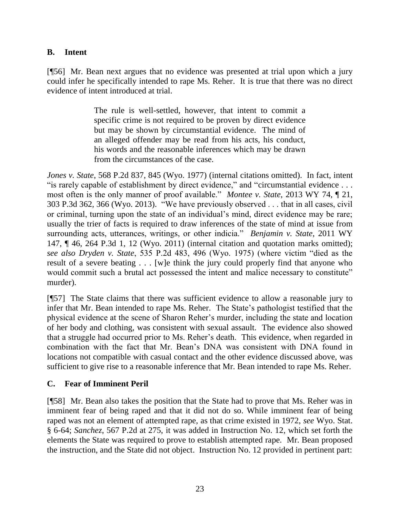# **B. Intent**

[¶56] Mr. Bean next argues that no evidence was presented at trial upon which a jury could infer he specifically intended to rape Ms. Reher. It is true that there was no direct evidence of intent introduced at trial.

> The rule is well-settled, however, that intent to commit a specific crime is not required to be proven by direct evidence but may be shown by circumstantial evidence. The mind of an alleged offender may be read from his acts, his conduct, his words and the reasonable inferences which may be drawn from the circumstances of the case.

*Jones v. State*, 568 P.2d 837, 845 (Wyo. 1977) (internal citations omitted). In fact, intent "is rarely capable of establishment by direct evidence," and "circumstantial evidence . . . most often is the only manner of proof available." *Montee v. State*, 2013 WY 74, ¶ 21, 303 P.3d 362, 366 (Wyo. 2013). "We have previously observed . . . that in all cases, civil or criminal, turning upon the state of an individual's mind, direct evidence may be rare; usually the trier of facts is required to draw inferences of the state of mind at issue from surrounding acts, utterances, writings, or other indicia." *Benjamin v. State*, 2011 WY 147, ¶ 46, 264 P.3d 1, 12 (Wyo. 2011) (internal citation and quotation marks omitted); *see also Dryden v. State*, 535 P.2d 483, 496 (Wyo. 1975) (where victim "died as the result of a severe beating . . . [w]e think the jury could properly find that anyone who would commit such a brutal act possessed the intent and malice necessary to constitute" murder).

[¶57] The State claims that there was sufficient evidence to allow a reasonable jury to infer that Mr. Bean intended to rape Ms. Reher. The State's pathologist testified that the physical evidence at the scene of Sharon Reher's murder, including the state and location of her body and clothing, was consistent with sexual assault. The evidence also showed that a struggle had occurred prior to Ms. Reher's death. This evidence, when regarded in combination with the fact that Mr. Bean's DNA was consistent with DNA found in locations not compatible with casual contact and the other evidence discussed above, was sufficient to give rise to a reasonable inference that Mr. Bean intended to rape Ms. Reher.

# **C. Fear of Imminent Peril**

[¶58] Mr. Bean also takes the position that the State had to prove that Ms. Reher was in imminent fear of being raped and that it did not do so. While imminent fear of being raped was not an element of attempted rape, as that crime existed in 1972, *see* Wyo. Stat. § 6-64; *Sanchez*, 567 P.2d at 275, it was added in Instruction No. 12, which set forth the elements the State was required to prove to establish attempted rape. Mr. Bean proposed the instruction, and the State did not object. Instruction No. 12 provided in pertinent part: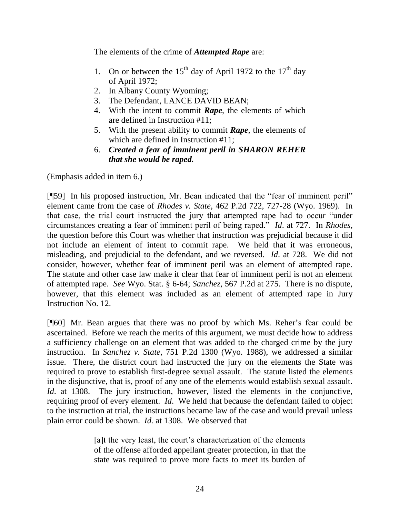The elements of the crime of *Attempted Rape* are:

- 1. On or between the  $15<sup>th</sup>$  day of April 1972 to the  $17<sup>th</sup>$  day of April 1972;
- 2. In Albany County Wyoming;
- 3. The Defendant, LANCE DAVID BEAN;
- 4. With the intent to commit *Rape*, the elements of which are defined in Instruction #11;
- 5. With the present ability to commit *Rape*, the elements of which are defined in Instruction #11;
- 6. *Created a fear of imminent peril in SHARON REHER that she would be raped.*

(Emphasis added in item 6.)

[¶59] In his proposed instruction, Mr. Bean indicated that the "fear of imminent peril" element came from the case of *Rhodes v. State*, 462 P.2d 722, 727-28 (Wyo. 1969). In that case, the trial court instructed the jury that attempted rape had to occur "under circumstances creating a fear of imminent peril of being raped." *Id*. at 727. In *Rhodes*, the question before this Court was whether that instruction was prejudicial because it did not include an element of intent to commit rape. We held that it was erroneous, misleading, and prejudicial to the defendant, and we reversed. *Id*. at 728. We did not consider, however, whether fear of imminent peril was an element of attempted rape. The statute and other case law make it clear that fear of imminent peril is not an element of attempted rape. *See* Wyo. Stat. § 6-64; *Sanchez*, 567 P.2d at 275. There is no dispute, however, that this element was included as an element of attempted rape in Jury Instruction No. 12.

[¶60] Mr. Bean argues that there was no proof by which Ms. Reher's fear could be ascertained. Before we reach the merits of this argument, we must decide how to address a sufficiency challenge on an element that was added to the charged crime by the jury instruction. In *Sanchez v. State*, 751 P.2d 1300 (Wyo. 1988), we addressed a similar issue. There, the district court had instructed the jury on the elements the State was required to prove to establish first-degree sexual assault. The statute listed the elements in the disjunctive, that is, proof of any one of the elements would establish sexual assault. *Id.* at 1308. The jury instruction, however, listed the elements in the conjunctive, requiring proof of every element. *Id*. We held that because the defendant failed to object to the instruction at trial, the instructions became law of the case and would prevail unless plain error could be shown. *Id.* at 1308. We observed that

> [a]t the very least, the court's characterization of the elements of the offense afforded appellant greater protection, in that the state was required to prove more facts to meet its burden of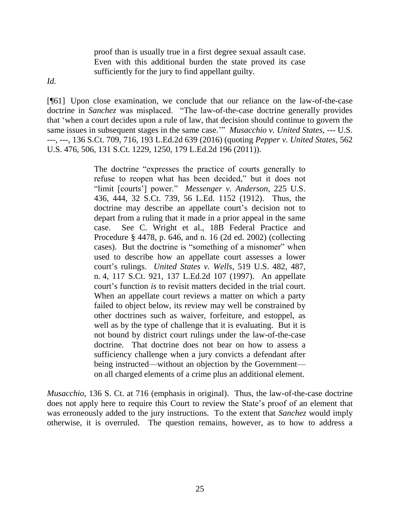proof than is usually true in a first degree sexual assault case. Even with this additional burden the state proved its case sufficiently for the jury to find appellant guilty.

*Id.*

[¶61] Upon close examination, we conclude that our reliance on the law-of-the-case doctrine in *Sanchez* was misplaced. "The law-of-the-case doctrine generally provides that 'when a court decides upon a rule of law, that decision should continue to govern the same issues in subsequent stages in the same case.'" *Musacchio v. United States*, --- U.S. ---, ---, 136 S.Ct. 709, 716, 193 L.Ed.2d 639 (2016) (quoting *Pepper v. United States*, 562 U.S. 476, 506, 131 S.Ct. 1229, 1250, 179 L.Ed.2d 196 (2011)).

> The doctrine "expresses the practice of courts generally to refuse to reopen what has been decided," but it does not "limit [courts'] power." *Messenger v. Anderson*, 225 U.S. 436, 444, 32 S.Ct. 739, 56 L.Ed. 1152 (1912). Thus, the doctrine may describe an appellate court's decision not to depart from a ruling that it made in a prior appeal in the same case. See C. Wright et al., 18B Federal Practice and Procedure § 4478, p. 646, and n. 16 (2d ed. 2002) (collecting cases). But the doctrine is "something of a misnomer" when used to describe how an appellate court assesses a lower court's rulings. *United States v. Wells*, 519 U.S. 482, 487, n. 4, 117 S.Ct. 921, 137 L.Ed.2d 107 (1997). An appellate court's function *is* to revisit matters decided in the trial court. When an appellate court reviews a matter on which a party failed to object below, its review may well be constrained by other doctrines such as waiver, forfeiture, and estoppel, as well as by the type of challenge that it is evaluating. But it is not bound by district court rulings under the law-of-the-case doctrine. That doctrine does not bear on how to assess a sufficiency challenge when a jury convicts a defendant after being instructed—without an objection by the Government on all charged elements of a crime plus an additional element.

*Musacchio*, 136 S. Ct. at 716 (emphasis in original). Thus, the law-of-the-case doctrine does not apply here to require this Court to review the State's proof of an element that was erroneously added to the jury instructions. To the extent that *Sanchez* would imply otherwise, it is overruled. The question remains, however, as to how to address a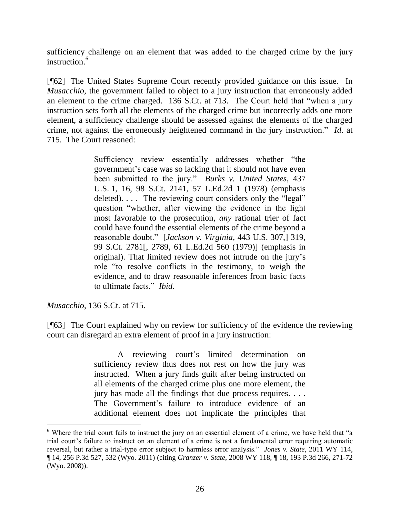sufficiency challenge on an element that was added to the charged crime by the jury instruction.<sup>6</sup>

[¶62] The United States Supreme Court recently provided guidance on this issue. In *Musacchio*, the government failed to object to a jury instruction that erroneously added an element to the crime charged. 136 S.Ct. at 713. The Court held that "when a jury instruction sets forth all the elements of the charged crime but incorrectly adds one more element, a sufficiency challenge should be assessed against the elements of the charged crime, not against the erroneously heightened command in the jury instruction." *Id*. at 715. The Court reasoned:

> Sufficiency review essentially addresses whether "the government's case was so lacking that it should not have even been submitted to the jury." *Burks v. United States*, 437 U.S. 1, 16, 98 S.Ct. 2141, 57 L.Ed.2d 1 (1978) (emphasis deleted). . . . The reviewing court considers only the "legal" question "whether, after viewing the evidence in the light most favorable to the prosecution, *any* rational trier of fact could have found the essential elements of the crime beyond a reasonable doubt." [*Jackson v. Virginia*, 443 U.S. 307,] 319, 99 S.Ct. 2781[, 2789, 61 L.Ed.2d 560 (1979)] (emphasis in original). That limited review does not intrude on the jury's role "to resolve conflicts in the testimony, to weigh the evidence, and to draw reasonable inferences from basic facts to ultimate facts." *Ibid.*

*Musacchio*, 136 S.Ct. at 715.

[¶63] The Court explained why on review for sufficiency of the evidence the reviewing court can disregard an extra element of proof in a jury instruction:

> A reviewing court's limited determination on sufficiency review thus does not rest on how the jury was instructed. When a jury finds guilt after being instructed on all elements of the charged crime plus one more element, the jury has made all the findings that due process requires. . . . The Government's failure to introduce evidence of an additional element does not implicate the principles that

<sup>&</sup>lt;sup>6</sup> Where the trial court fails to instruct the jury on an essential element of a crime, we have held that "a trial court's failure to instruct on an element of a crime is not a fundamental error requiring automatic reversal, but rather a trial-type error subject to harmless error analysis." *Jones v. State*, 2011 WY 114, ¶ 14, 256 P.3d 527, 532 (Wyo. 2011) (citing *Granzer v. State*, 2008 WY 118, ¶ 18, 193 P.3d 266, 271-72 (Wyo. 2008)).